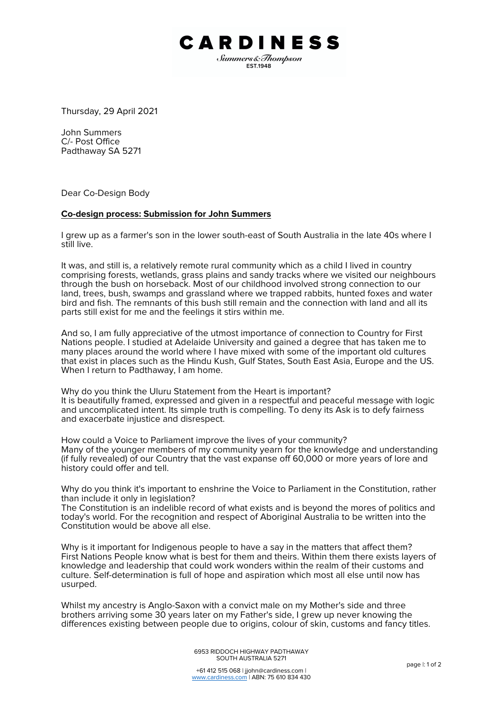Summers & Thompson **FST1948** 

CARDINESS

Thursday, 29 April 2021

C/- Post Office John Summers Padthaway SA 5271

Dear Co-Design Body

## **Co-design process: Submission for John Summers**

 I grew up as a farmer's son in the lower south-east of South Australia in the late 40s where I still live.

 It was, and still is, a relatively remote rural community which as a child I lived in country parts still exist for me and the feelings it stirs within me. comprising forests, wetlands, grass plains and sandy tracks where we visited our neighbours through the bush on horseback. Most of our childhood involved strong connection to our land, trees, bush, swamps and grassland where we trapped rabbits, hunted foxes and water bird and fish. The remnants of this bush still remain and the connection with land and all its

 Nations people. I studied at Adelaide University and gained a degree that has taken me to many places around the world where I have mixed with some of the important old cultures When I return to Padthaway, I am home. And so, I am fully appreciative of the utmost importance of connection to Country for First that exist in places such as the Hindu Kush, Gulf States, South East Asia, Europe and the US.

 Why do you think the Uluru Statement from the Heart is important? It is beautifully framed, expressed and given in a respectful and peaceful message with logic and uncomplicated intent. Its simple truth is compelling. To deny its Ask is to defy fairness and exacerbate injustice and disrespect.

 How could a Voice to Parliament improve the lives of your community? Many of the younger members of my community yearn for the knowledge and understanding (if fully revealed) of our Country that the vast expanse off 60,000 or more years of lore and history could offer and tell.

 Why do you think it's important to enshrine the Voice to Parliament in the Constitution, rather than include it only in legislation?

 The Constitution is an indelible record of what exists and is beyond the mores of politics and today's world. For the recognition and respect of Aboriginal Australia to be written into the Constitution would be above all else.

 Why is it important for Indigenous people to have a say in the matters that affect them? First Nations People know what is best for them and theirs. Within them there exists layers of knowledge and leadership that could work wonders within the realm of their customs and culture. Self-determination is full of hope and aspiration which most all else until now has usurped.

 Whilst my ancestry is Anglo-Saxon with a convict male on my Mother's side and three brothers arriving some 30 years later on my Father's side, I grew up never knowing the differences existing between people due to origins, colour of skin, customs and fancy titles.

> 6953 RIDDOCH HIGHWAY PADTHAWAY SOUTH AUSTRALIA 5271